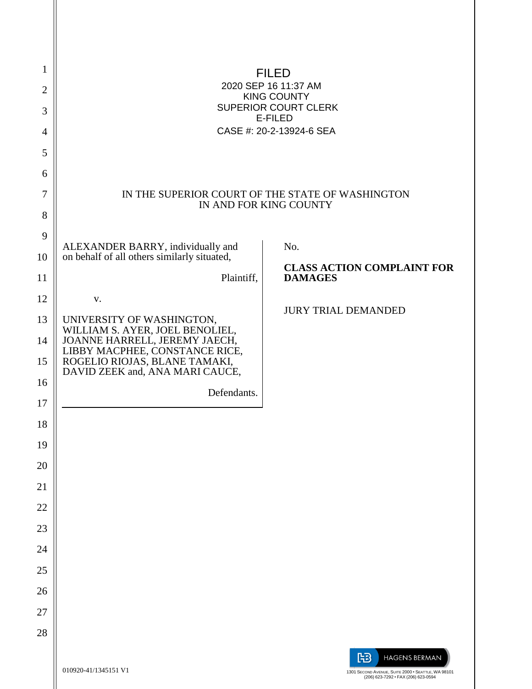| 1<br>2<br>3<br>4<br>5<br>6<br>7<br>8   | ØSOO<br>GEGEAUOUAFÎ AFFIKHÎ AGET<br><b>SOLŐŐUWÞVŸ</b><br>ÙWÚÒÜQUÜÁÔUWÜVÁÔŠÒÜS<br><b>OEZSOO</b><br>ÔŒLIÒÁN AG SEIGEIFH J GI EI Á LIÒCE<br>IN THE SUPERIOR COURT OF THE STATE OF WASHINGTON<br>IN AND FOR KING COUNTY      |                                                                                                                        |  |
|----------------------------------------|--------------------------------------------------------------------------------------------------------------------------------------------------------------------------------------------------------------------------|------------------------------------------------------------------------------------------------------------------------|--|
| 9<br>10                                | ALEXANDER BARRY, individually and<br>on behalf of all others similarly situated,                                                                                                                                         | No.<br><b>CLASS ACTION COMPLAINT FOR</b>                                                                               |  |
| 11                                     | Plaintiff,                                                                                                                                                                                                               | <b>DAMAGES</b>                                                                                                         |  |
| 12<br>13<br>14<br>15<br>16<br>17<br>18 | V.<br>UNIVERSITY OF WASHINGTON,<br>WILLIAM S. AYER, JOEL BENOLIEL,<br>JOANNE HARRELL, JEREMY JAECH,<br>LIBBY MACPHEE, CONSTANCE RICE,<br>ROGELIO RIOJAS, BLANE TAMAKI,<br>DAVID ZEEK and, ANA MARI CAUCE,<br>Defendants. | <b>JURY TRIAL DEMANDED</b>                                                                                             |  |
| 19                                     |                                                                                                                                                                                                                          |                                                                                                                        |  |
| 20<br>21                               |                                                                                                                                                                                                                          |                                                                                                                        |  |
| 22                                     |                                                                                                                                                                                                                          |                                                                                                                        |  |
| 23                                     |                                                                                                                                                                                                                          |                                                                                                                        |  |
| 24                                     |                                                                                                                                                                                                                          |                                                                                                                        |  |
| 25                                     |                                                                                                                                                                                                                          |                                                                                                                        |  |
| 26                                     |                                                                                                                                                                                                                          |                                                                                                                        |  |
| 27<br>28                               |                                                                                                                                                                                                                          |                                                                                                                        |  |
|                                        | 010920-41/1345151 V1                                                                                                                                                                                                     | 阳<br><b>HAGENS BERMAN</b><br>1301 SECOND AVENUE, SUITE 2000 · SEATTLE, WA 98101<br>(206) 623-7292 · FAX (206) 623-0594 |  |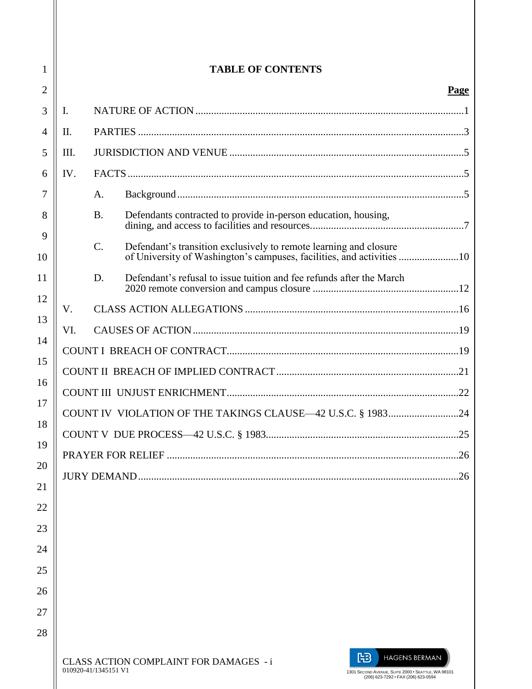| 1       | <b>TABLE OF CONTENTS</b> |                      |                                                                                                                                                                         |             |
|---------|--------------------------|----------------------|-------------------------------------------------------------------------------------------------------------------------------------------------------------------------|-------------|
| 2       |                          |                      |                                                                                                                                                                         | <b>Page</b> |
| 3       | $\mathbf{I}$ .           |                      |                                                                                                                                                                         |             |
| 4       | H.                       |                      |                                                                                                                                                                         |             |
| 5       | III.                     |                      |                                                                                                                                                                         |             |
| 6       | IV.                      |                      |                                                                                                                                                                         |             |
| 7       |                          | $A$ .                |                                                                                                                                                                         |             |
| 8       |                          | <b>B.</b>            | Defendants contracted to provide in-person education, housing,                                                                                                          |             |
| 9<br>10 |                          | $\mathcal{C}$ .      | Defendant's transition exclusively to remote learning and closure                                                                                                       |             |
| 11      |                          | D.                   | Defendant's refusal to issue tuition and fee refunds after the March                                                                                                    |             |
| 12      | V.                       |                      |                                                                                                                                                                         |             |
| 13      | VI.                      |                      |                                                                                                                                                                         |             |
| 14      |                          |                      |                                                                                                                                                                         |             |
| 15      |                          |                      |                                                                                                                                                                         |             |
| 16      |                          |                      |                                                                                                                                                                         |             |
| 17      |                          |                      | COUNT IV VIOLATION OF THE TAKINGS CLAUSE-42 U.S.C. § 198324                                                                                                             |             |
| 18      |                          |                      |                                                                                                                                                                         |             |
| 19      |                          |                      |                                                                                                                                                                         | 26          |
| 20      |                          |                      |                                                                                                                                                                         | .26         |
| 21      |                          |                      |                                                                                                                                                                         |             |
| 22      |                          |                      |                                                                                                                                                                         |             |
| 23      |                          |                      |                                                                                                                                                                         |             |
| 24      |                          |                      |                                                                                                                                                                         |             |
| 25      |                          |                      |                                                                                                                                                                         |             |
| 26      |                          |                      |                                                                                                                                                                         |             |
| 27      |                          |                      |                                                                                                                                                                         |             |
| 28      |                          | 010920-41/1345151 V1 | 阳<br><b>HAGENS BERMAN</b><br><b>CLASS ACTION COMPLAINT FOR DAMAGES - i</b><br>1301 SECOND AVENUE, SUITE 2000 · SEATTLE, WA 98101<br>(206) 623-7292 · FAX (206) 623-0594 |             |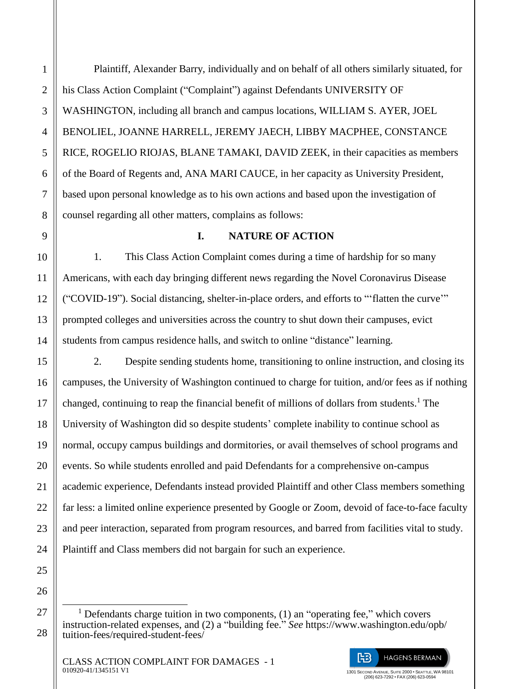Plaintiff, Alexander Barry, individually and on behalf of all others similarly situated, for his Class Action Complaint ("Complaint") against Defendants UNIVERSITY OF WASHINGTON, including all branch and campus locations, WILLIAM S. AYER, JOEL BENOLIEL, JOANNE HARRELL, JEREMY JAECH, LIBBY MACPHEE, CONSTANCE RICE, ROGELIO RIOJAS, BLANE TAMAKI, DAVID ZEEK, in their capacities as members of the Board of Regents and, ANA MARI CAUCE, in her capacity as University President, based upon personal knowledge as to his own actions and based upon the investigation of counsel regarding all other matters, complains as follows:

## **I. NATURE OF ACTION**

1. This Class Action Complaint comes during a time of hardship for so many Americans, with each day bringing different news regarding the Novel Coronavirus Disease ("COVID-19"). Social distancing, shelter-in-place orders, and efforts to "'flatten the curve'" prompted colleges and universities across the country to shut down their campuses, evict students from campus residence halls, and switch to online "distance" learning.

2. Despite sending students home, transitioning to online instruction, and closing its campuses, the University of Washington continued to charge for tuition, and/or fees as if nothing changed, continuing to reap the financial benefit of millions of dollars from students.<sup>1</sup> The University of Washington did so despite students' complete inability to continue school as normal, occupy campus buildings and dormitories, or avail themselves of school programs and events. So while students enrolled and paid Defendants for a comprehensive on-campus academic experience, Defendants instead provided Plaintiff and other Class members something far less: a limited online experience presented by Google or Zoom, devoid of face-to-face faculty and peer interaction, separated from program resources, and barred from facilities vital to study. Plaintiff and Class members did not bargain for such an experience.

 $\overline{a}$ <sup>1</sup> Defendants charge tuition in two components, (1) an "operating fee," which covers instruction-related expenses, and (2) a "building fee." *See* https://www.washington.edu/opb/ tuition-fees/required-student-fees/

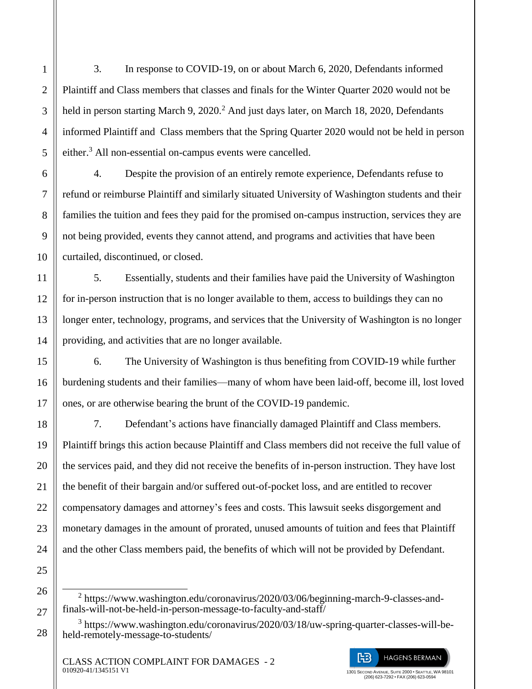3. In response to COVID-19, on or about March 6, 2020, Defendants informed Plaintiff and Class members that classes and finals for the Winter Quarter 2020 would not be held in person starting March 9,  $2020<sup>2</sup>$  And just days later, on March 18, 2020, Defendants informed Plaintiff and Class members that the Spring Quarter 2020 would not be held in person either.<sup>3</sup> All non-essential on-campus events were cancelled.

4. Despite the provision of an entirely remote experience, Defendants refuse to refund or reimburse Plaintiff and similarly situated University of Washington students and their families the tuition and fees they paid for the promised on-campus instruction, services they are not being provided, events they cannot attend, and programs and activities that have been curtailed, discontinued, or closed.

5. Essentially, students and their families have paid the University of Washington for in-person instruction that is no longer available to them, access to buildings they can no longer enter, technology, programs, and services that the University of Washington is no longer providing, and activities that are no longer available.

6. The University of Washington is thus benefiting from COVID-19 while further burdening students and their families—many of whom have been laid-off, become ill, lost loved ones, or are otherwise bearing the brunt of the COVID-19 pandemic.

7. Defendant's actions have financially damaged Plaintiff and Class members. Plaintiff brings this action because Plaintiff and Class members did not receive the full value of the services paid, and they did not receive the benefits of in-person instruction. They have lost the benefit of their bargain and/or suffered out-of-pocket loss, and are entitled to recover compensatory damages and attorney's fees and costs. This lawsuit seeks disgorgement and monetary damages in the amount of prorated, unused amounts of tuition and fees that Plaintiff and the other Class members paid, the benefits of which will not be provided by Defendant.

1

 $\overline{a}$ <sup>2</sup> https://www.washington.edu/coronavirus/2020/03/06/beginning-march-9-classes-andfinals-will-not-be-held-in-person-message-to-faculty-and-staff/

<sup>&</sup>lt;sup>3</sup> https://www.washington.edu/coronavirus/2020/03/18/uw-spring-quarter-classes-will-beheld-remotely-message-to-students/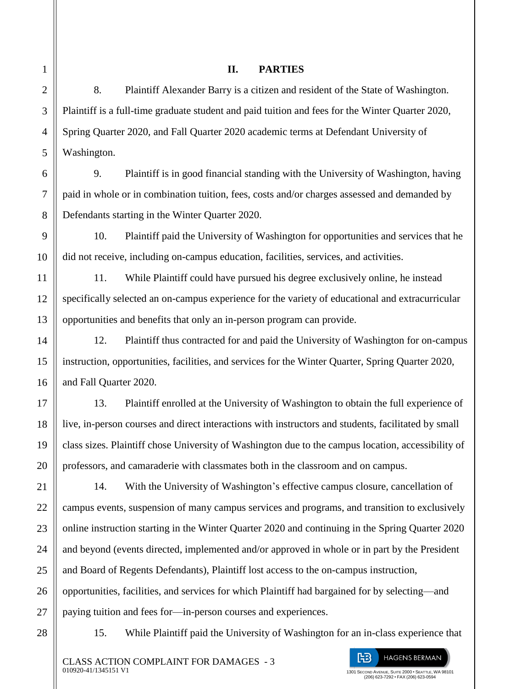15. While Plaintiff paid the University of Washington for an in-class experience that

1301 SECOND AVENUE, SUITE 2000 • SEATTLE, WA 98101 (206) 623-7292 • FAX (206) 623-0594

旧

**HAGENS BERMAN** 

### **II. PARTIES**

8. Plaintiff Alexander Barry is a citizen and resident of the State of Washington. Plaintiff is a full-time graduate student and paid tuition and fees for the Winter Quarter 2020, Spring Quarter 2020, and Fall Quarter 2020 academic terms at Defendant University of Washington.

9. Plaintiff is in good financial standing with the University of Washington, having paid in whole or in combination tuition, fees, costs and/or charges assessed and demanded by Defendants starting in the Winter Quarter 2020.

10. Plaintiff paid the University of Washington for opportunities and services that he did not receive, including on-campus education, facilities, services, and activities.

11. While Plaintiff could have pursued his degree exclusively online, he instead specifically selected an on-campus experience for the variety of educational and extracurricular opportunities and benefits that only an in-person program can provide.

12. Plaintiff thus contracted for and paid the University of Washington for on-campus instruction, opportunities, facilities, and services for the Winter Quarter, Spring Quarter 2020, and Fall Quarter 2020.

13. Plaintiff enrolled at the University of Washington to obtain the full experience of live, in-person courses and direct interactions with instructors and students, facilitated by small class sizes. Plaintiff chose University of Washington due to the campus location, accessibility of professors, and camaraderie with classmates both in the classroom and on campus.

14. With the University of Washington's effective campus closure, cancellation of campus events, suspension of many campus services and programs, and transition to exclusively online instruction starting in the Winter Quarter 2020 and continuing in the Spring Quarter 2020 and beyond (events directed, implemented and/or approved in whole or in part by the President and Board of Regents Defendants), Plaintiff lost access to the on-campus instruction, opportunities, facilities, and services for which Plaintiff had bargained for by selecting—and paying tuition and fees for—in-person courses and experiences.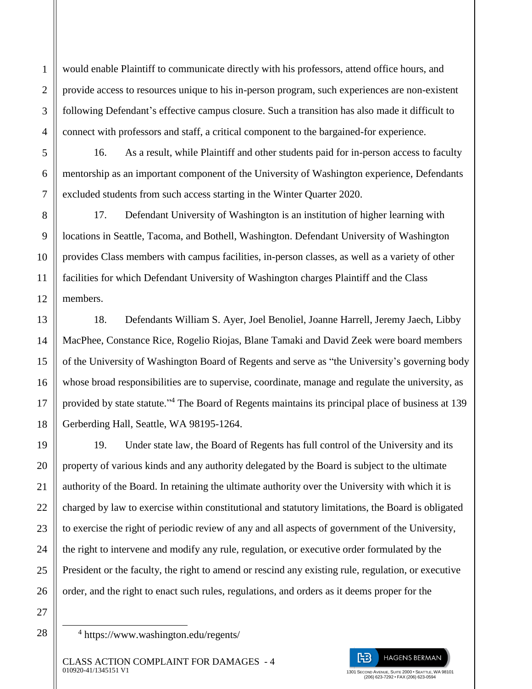would enable Plaintiff to communicate directly with his professors, attend office hours, and provide access to resources unique to his in-person program, such experiences are non-existent following Defendant's effective campus closure. Such a transition has also made it difficult to connect with professors and staff, a critical component to the bargained-for experience.

16. As a result, while Plaintiff and other students paid for in-person access to faculty mentorship as an important component of the University of Washington experience, Defendants excluded students from such access starting in the Winter Quarter 2020.

17. Defendant University of Washington is an institution of higher learning with locations in Seattle, Tacoma, and Bothell, Washington. Defendant University of Washington provides Class members with campus facilities, in-person classes, as well as a variety of other facilities for which Defendant University of Washington charges Plaintiff and the Class members.

18. Defendants William S. Ayer, Joel Benoliel, Joanne Harrell, Jeremy Jaech, Libby MacPhee, Constance Rice, Rogelio Riojas, Blane Tamaki and David Zeek were board members of the University of Washington Board of Regents and serve as "the University's governing body whose broad responsibilities are to supervise, coordinate, manage and regulate the university, as provided by state statute."<sup>4</sup> The Board of Regents maintains its principal place of business at 139 Gerberding Hall, Seattle, WA 98195-1264.

19. Under state law, the Board of Regents has full control of the University and its property of various kinds and any authority delegated by the Board is subject to the ultimate authority of the Board. In retaining the ultimate authority over the University with which it is charged by law to exercise within constitutional and statutory limitations, the Board is obligated to exercise the right of periodic review of any and all aspects of government of the University, the right to intervene and modify any rule, regulation, or executive order formulated by the President or the faculty, the right to amend or rescind any existing rule, regulation, or executive order, and the right to enact such rules, regulations, and orders as it deems proper for the

27 28

 $\overline{a}$ 

1

 $\mathfrak{D}$ 

3

4

5

6

7

8

9

10

11

12

13

14

15

16

17

18

19

20

21

22

23

24

25

26



<sup>4</sup> https://www.washington.edu/regents/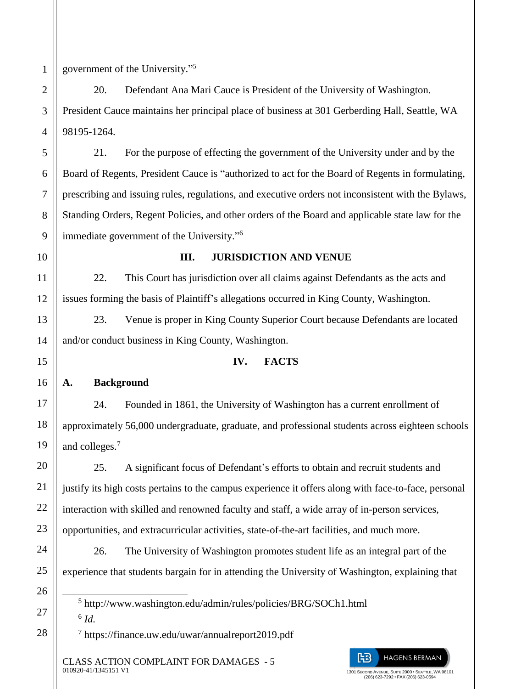$\overline{a}$ 

government of the University." 5

20. Defendant Ana Mari Cauce is President of the University of Washington. President Cauce maintains her principal place of business at 301 Gerberding Hall, Seattle, WA 98195-1264.

21. For the purpose of effecting the government of the University under and by the Board of Regents, President Cauce is "authorized to act for the Board of Regents in formulating, prescribing and issuing rules, regulations, and executive orders not inconsistent with the Bylaws, Standing Orders, Regent Policies, and other orders of the Board and applicable state law for the immediate government of the University."<sup>6</sup>

## **III. JURISDICTION AND VENUE**

22. This Court has jurisdiction over all claims against Defendants as the acts and issues forming the basis of Plaintiff's allegations occurred in King County, Washington.

23. Venue is proper in King County Superior Court because Defendants are located and/or conduct business in King County, Washington.

### **IV. FACTS**

**A. Background**

24. Founded in 1861, the University of Washington has a current enrollment of approximately 56,000 undergraduate, graduate, and professional students across eighteen schools and colleges.<sup>7</sup>

25. A significant focus of Defendant's efforts to obtain and recruit students and justify its high costs pertains to the campus experience it offers along with face-to-face, personal interaction with skilled and renowned faculty and staff, a wide array of in-person services, opportunities, and extracurricular activities, state-of-the-art facilities, and much more.

26. The University of Washington promotes student life as an integral part of the experience that students bargain for in attending the University of Washington, explaining that

5 http://www.washington.edu/admin/rules/policies/BRG/SOCh1.html 6 *Id.*

7 https://finance.uw.edu/uwar/annualreport2019.pdf

CLASS ACTION COMPLAINT FOR DAMAGES - 5 010920-41/1345151 V1



(206) 623-7292 • FAX (206) 623-0594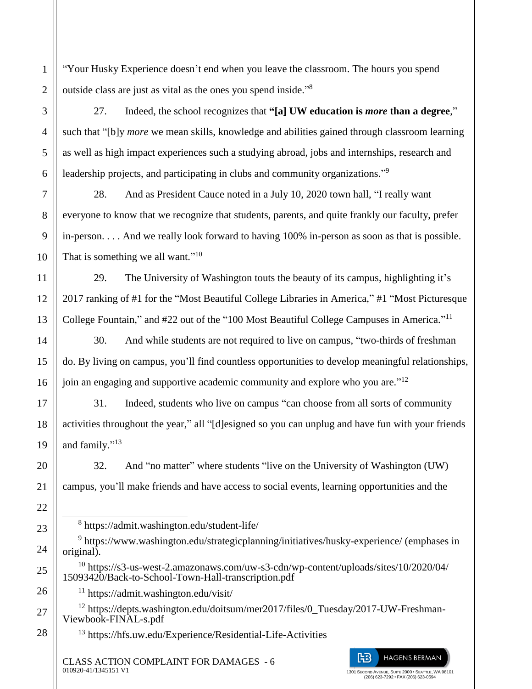"Your Husky Experience doesn't end when you leave the classroom. The hours you spend outside class are just as vital as the ones you spend inside."<sup>8</sup>

1

2

3

4

5

6

7

8

9

10

11

12

13

14

15

16

17

18

19

20

21

22

 $\overline{a}$ 

23

24

25

26

27

28

27. Indeed, the school recognizes that **"[a] UW education is** *more* **than a degree**," such that "[b]y *more* we mean skills, knowledge and abilities gained through classroom learning as well as high impact experiences such a studying abroad, jobs and internships, research and leadership projects, and participating in clubs and community organizations."<sup>9</sup>

28. And as President Cauce noted in a July 10, 2020 town hall, "I really want everyone to know that we recognize that students, parents, and quite frankly our faculty, prefer in-person. . . . And we really look forward to having 100% in-person as soon as that is possible. That is something we all want."<sup>10</sup>

29. The University of Washington touts the beauty of its campus, highlighting it's 2017 ranking of #1 for the "Most Beautiful College Libraries in America," #1 "Most Picturesque College Fountain," and #22 out of the "100 Most Beautiful College Campuses in America."<sup>11</sup>

30. And while students are not required to live on campus, "two-thirds of freshman do. By living on campus, you'll find countless opportunities to develop meaningful relationships, join an engaging and supportive academic community and explore who you are."<sup>12</sup>

31. Indeed, students who live on campus "can choose from all sorts of community activities throughout the year," all "[d]esigned so you can unplug and have fun with your friends and family."<sup>13</sup>

32. And "no matter" where students "live on the University of Washington (UW) campus, you'll make friends and have access to social events, learning opportunities and the

8 https://admit.washington.edu/student-life/

<sup>9</sup> https://www.washington.edu/strategicplanning/initiatives/husky-experience/ (emphases in original).

<sup>10</sup> https://s3-us-west-2.amazonaws.com/uw-s3-cdn/wp-content/uploads/sites/10/2020/04/ 15093420/Back-to-School-Town-Hall-transcription.pdf

<sup>11</sup> https://admit.washington.edu/visit/

<sup>12</sup> https://depts.washington.edu/doitsum/mer2017/files/0\_Tuesday/2017-UW-Freshman-Viewbook-FINAL-s.pdf

<sup>13</sup> https://hfs.uw.edu/Experience/Residential-Life-Activities

CLASS ACTION COMPLAINT FOR DAMAGES - 6 010920-41/1345151 V1



(206) 623-7292 • FAX (206) 623-0594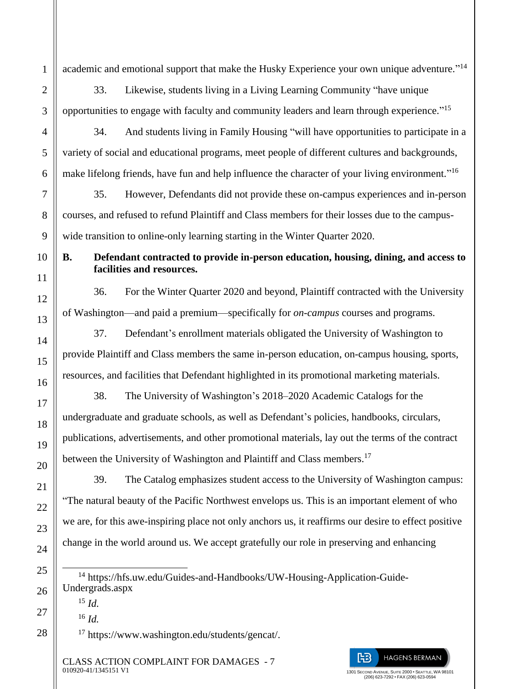academic and emotional support that make the Husky Experience your own unique adventure."<sup>14</sup>

33. Likewise, students living in a Living Learning Community "have unique opportunities to engage with faculty and community leaders and learn through experience."<sup>15</sup>

34. And students living in Family Housing "will have opportunities to participate in a variety of social and educational programs, meet people of different cultures and backgrounds, make lifelong friends, have fun and help influence the character of your living environment."<sup>16</sup>

35. However, Defendants did not provide these on-campus experiences and in-person courses, and refused to refund Plaintiff and Class members for their losses due to the campuswide transition to online-only learning starting in the Winter Quarter 2020.

**B. Defendant contracted to provide in-person education, housing, dining, and access to facilities and resources.**

36. For the Winter Quarter 2020 and beyond, Plaintiff contracted with the University of Washington—and paid a premium—specifically for *on-campus* courses and programs.

37. Defendant's enrollment materials obligated the University of Washington to provide Plaintiff and Class members the same in-person education, on-campus housing, sports, resources, and facilities that Defendant highlighted in its promotional marketing materials.

38. The University of Washington's 2018–2020 Academic Catalogs for the undergraduate and graduate schools, as well as Defendant's policies, handbooks, circulars, publications, advertisements, and other promotional materials, lay out the terms of the contract between the University of Washington and Plaintiff and Class members.<sup>17</sup>

39. The Catalog emphasizes student access to the University of Washington campus: "The natural beauty of the Pacific Northwest envelops us. This is an important element of who we are, for this awe-inspiring place not only anchors us, it reaffirms our desire to effect positive change in the world around us. We accept gratefully our role in preserving and enhancing

<sup>15</sup> *Id.*

1

 $\mathfrak{D}$ 

3

4

5

6

7

8

9

10

11

12

13

14

15

16

17

18

19

20

21

22

23

24

25

 $\overline{a}$ 

26

27

28

<sup>16</sup> *Id.*

<sup>17</sup> https://www.washington.edu/students/gencat/.

CLASS ACTION COMPLAINT FOR DAMAGES - 7 010920-41/1345151 V1

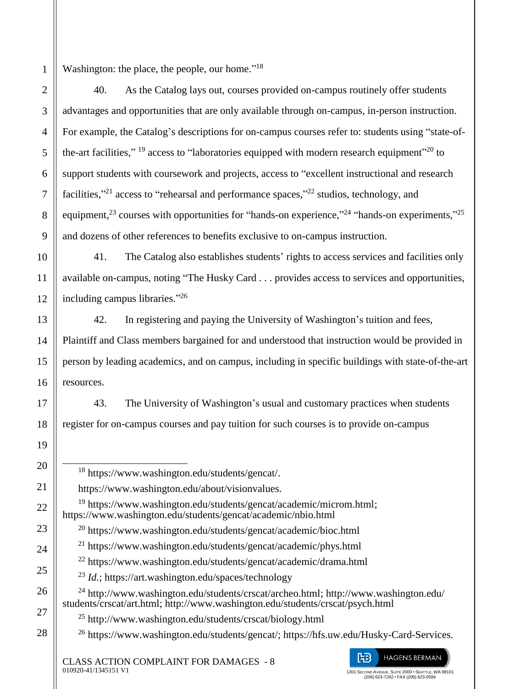Washington: the place, the people, our home."<sup>18</sup>

40. As the Catalog lays out, courses provided on-campus routinely offer students advantages and opportunities that are only available through on-campus, in-person instruction. For example, the Catalog's descriptions for on-campus courses refer to: students using "state-ofthe-art facilities,"  $^{19}$  access to "laboratories equipped with modern research equipment"<sup>20</sup> to support students with coursework and projects, access to "excellent instructional and research facilities,"<sup>21</sup> access to "rehearsal and performance spaces,"<sup>22</sup> studios, technology, and equipment,<sup>23</sup> courses with opportunities for "hands-on experience,"<sup>24</sup> "hands-on experiments,"<sup>25</sup> and dozens of other references to benefits exclusive to on-campus instruction.

41. The Catalog also establishes students' rights to access services and facilities only available on-campus, noting "The Husky Card . . . provides access to services and opportunities, including campus libraries."<sup>26</sup>

42. In registering and paying the University of Washington's tuition and fees, Plaintiff and Class members bargained for and understood that instruction would be provided in person by leading academics, and on campus, including in specific buildings with state-of-the-art resources.

43. The University of Washington's usual and customary practices when students register for on-campus courses and pay tuition for such courses is to provide on-campus

 $\overline{a}$ <sup>18</sup> https://www.washington.edu/students/gencat/. https://www.washington.edu/about/visionvalues. <sup>19</sup> https://www.washington.edu/students/gencat/academic/microm.html; https://www.washington.edu/students/gencat/academic/nbio.html <sup>20</sup> https://www.washington.edu/students/gencat/academic/bioc.html <sup>21</sup> https://www.washington.edu/students/gencat/academic/phys.html <sup>22</sup> https://www.washington.edu/students/gencat/academic/drama.html <sup>23</sup> *Id.*; https://art.washington.edu/spaces/technology <sup>24</sup> http://www.washington.edu/students/crscat/archeo.html; http://www.washington.edu/ students/crscat/art.html; http://www.washington.edu/students/crscat/psych.html <sup>25</sup> http://www.washington.edu/students/crscat/biology.html <sup>26</sup> https://www.washington.edu/students/gencat/; https://hfs.uw.edu/Husky-Card-Services. **HAGENS BERMAN** 的 CLASS ACTION COMPLAINT FOR DAMAGES - 8 010920-41/1345151 V1 1301 SECOND AVENUE, SUITE 2000 • SEATTLE, WA 98101 (206) 623-7292 • FAX (206) 623-0594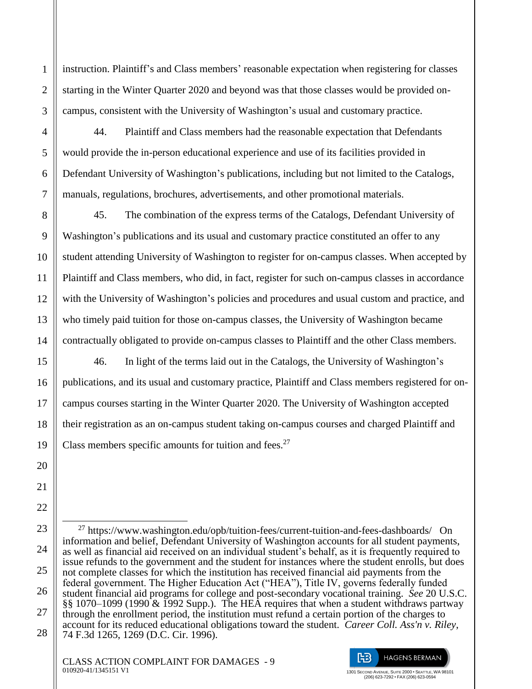1  $\mathfrak{D}$ 3 4 5 6 7 8 9 instruction. Plaintiff's and Class members' reasonable expectation when registering for classes starting in the Winter Quarter 2020 and beyond was that those classes would be provided oncampus, consistent with the University of Washington's usual and customary practice. 44. Plaintiff and Class members had the reasonable expectation that Defendants would provide the in-person educational experience and use of its facilities provided in Defendant University of Washington's publications, including but not limited to the Catalogs, manuals, regulations, brochures, advertisements, and other promotional materials. 45. The combination of the express terms of the Catalogs, Defendant University of

10

11

12

13

14

15

16

17

18

19

20

21

22

23

24

25

26

27

28

Washington's publications and its usual and customary practice constituted an offer to any student attending University of Washington to register for on-campus classes. When accepted by Plaintiff and Class members, who did, in fact, register for such on-campus classes in accordance with the University of Washington's policies and procedures and usual custom and practice, and who timely paid tuition for those on-campus classes, the University of Washington became contractually obligated to provide on-campus classes to Plaintiff and the other Class members.

46. In light of the terms laid out in the Catalogs, the University of Washington's publications, and its usual and customary practice, Plaintiff and Class members registered for oncampus courses starting in the Winter Quarter 2020. The University of Washington accepted their registration as an on-campus student taking on-campus courses and charged Plaintiff and Class members specific amounts for tuition and fees.<sup>27</sup>



 $\overline{a}$ <sup>27</sup> https://www.washington.edu/opb/tuition-fees/current-tuition-and-fees-dashboards/ On information and belief, Defendant University of Washington accounts for all student payments, as well as financial aid received on an individual student's behalf, as it is frequently required to issue refunds to the government and the student for instances where the student enrolls, but does not complete classes for which the institution has received financial aid payments from the federal government. The Higher Education Act ("HEA"), Title IV, governs federally funded student financial aid programs for college and post-secondary vocational training. *See* 20 U.S.C. §§ 1070–1099 (1990 & 1992 Supp.). The HEA requires that when a student withdraws partway through the enrollment period, the institution must refund a certain portion of the charges to account for its reduced educational obligations toward the student. *Career Coll. Ass'n v. Riley*, 74 F.3d 1265, 1269 (D.C. Cir. 1996).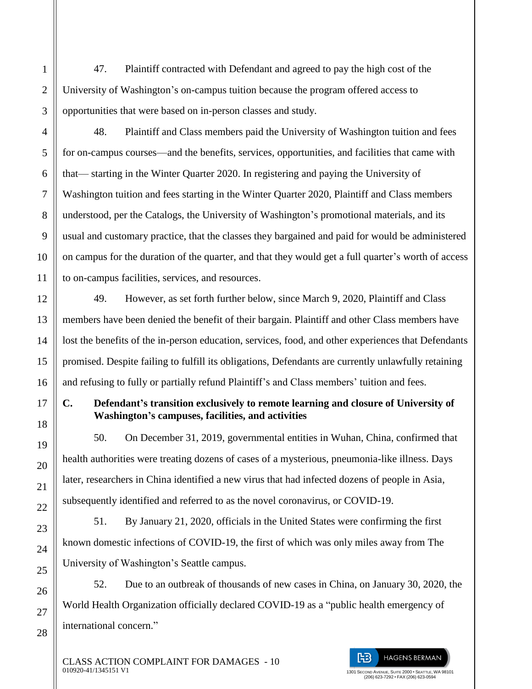47. Plaintiff contracted with Defendant and agreed to pay the high cost of the University of Washington's on-campus tuition because the program offered access to opportunities that were based on in-person classes and study.

48. Plaintiff and Class members paid the University of Washington tuition and fees for on-campus courses—and the benefits, services, opportunities, and facilities that came with that— starting in the Winter Quarter 2020. In registering and paying the University of Washington tuition and fees starting in the Winter Quarter 2020, Plaintiff and Class members understood, per the Catalogs, the University of Washington's promotional materials, and its usual and customary practice, that the classes they bargained and paid for would be administered on campus for the duration of the quarter, and that they would get a full quarter's worth of access to on-campus facilities, services, and resources.

49. However, as set forth further below, since March 9, 2020, Plaintiff and Class members have been denied the benefit of their bargain. Plaintiff and other Class members have lost the benefits of the in-person education, services, food, and other experiences that Defendants promised. Despite failing to fulfill its obligations, Defendants are currently unlawfully retaining and refusing to fully or partially refund Plaintiff's and Class members' tuition and fees.

# **C. Defendant's transition exclusively to remote learning and closure of University of Washington's campuses, facilities, and activities**

50. On December 31, 2019, governmental entities in Wuhan, China, confirmed that health authorities were treating dozens of cases of a mysterious, pneumonia-like illness. Days later, researchers in China identified a new virus that had infected dozens of people in Asia, subsequently identified and referred to as the novel coronavirus, or COVID-19.

51. By January 21, 2020, officials in the United States were confirming the first known domestic infections of COVID-19, the first of which was only miles away from The University of Washington's Seattle campus.

52. Due to an outbreak of thousands of new cases in China, on January 30, 2020, the World Health Organization officially declared COVID-19 as a "public health emergency of international concern."

> 1301 SECOND AVENUE, SUITE 2000 • SEATTLE, WA 98101 (206) 623-7292 • FAX (206) 623-0594

阳

**HAGENS BERMAN** 

CLASS ACTION COMPLAINT FOR DAMAGES - 10 010920-41/1345151 V1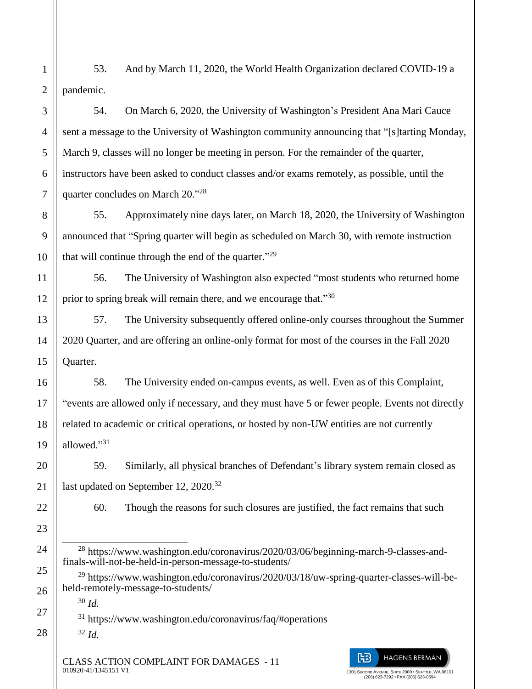53. And by March 11, 2020, the World Health Organization declared COVID-19 a pandemic.

54. On March 6, 2020, the University of Washington's President Ana Mari Cauce sent a message to the University of Washington community announcing that "[s]tarting Monday, March 9, classes will no longer be meeting in person. For the remainder of the quarter, instructors have been asked to conduct classes and/or exams remotely, as possible, until the quarter concludes on March 20."<sup>28</sup>

55. Approximately nine days later, on March 18, 2020, the University of Washington announced that "Spring quarter will begin as scheduled on March 30, with remote instruction that will continue through the end of the quarter."<sup>29</sup>

56. The University of Washington also expected "most students who returned home prior to spring break will remain there, and we encourage that."30

57. The University subsequently offered online-only courses throughout the Summer 2020 Quarter, and are offering an online-only format for most of the courses in the Fall 2020 Quarter.

58. The University ended on-campus events, as well. Even as of this Complaint, "events are allowed only if necessary, and they must have 5 or fewer people. Events not directly related to academic or critical operations, or hosted by non-UW entities are not currently allowed." 31

59. Similarly, all physical branches of Defendant's library system remain closed as last updated on September 12, 2020.<sup>32</sup>

1

2

3

4

5

6

7

8

9

10

11

12

13

14

15

16

17

18

19

20

21

22

23

24

25

26

27

28

60. Though the reasons for such closures are justified, the fact remains that such

 $\overline{a}$ <sup>28</sup> https://www.washington.edu/coronavirus/2020/03/06/beginning-march-9-classes-andfinals-will-not-be-held-in-person-message-to-students/

<sup>29</sup> https://www.washington.edu/coronavirus/2020/03/18/uw-spring-quarter-classes-will-beheld-remotely-message-to-students/

<sup>30</sup> *Id.*

<sup>31</sup> https://www.washington.edu/coronavirus/faq/#operations

<sup>32</sup> *Id.*

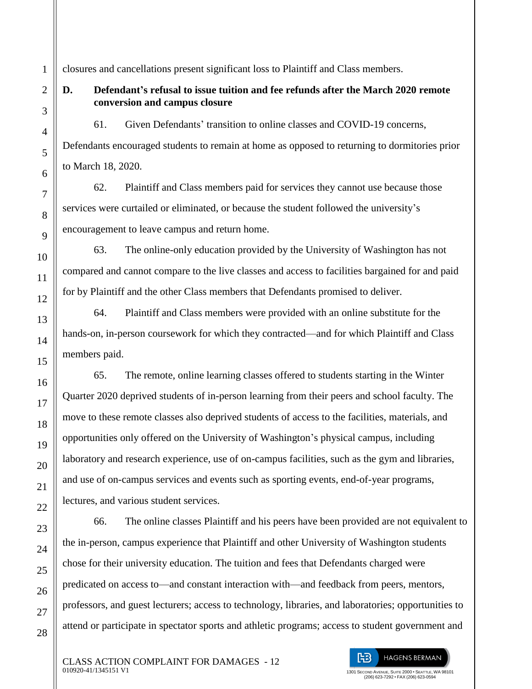closures and cancellations present significant loss to Plaintiff and Class members.

## **D. Defendant's refusal to issue tuition and fee refunds after the March 2020 remote conversion and campus closure**

61. Given Defendants' transition to online classes and COVID-19 concerns, Defendants encouraged students to remain at home as opposed to returning to dormitories prior to March 18, 2020.

62. Plaintiff and Class members paid for services they cannot use because those services were curtailed or eliminated, or because the student followed the university's encouragement to leave campus and return home.

63. The online-only education provided by the University of Washington has not compared and cannot compare to the live classes and access to facilities bargained for and paid for by Plaintiff and the other Class members that Defendants promised to deliver.

64. Plaintiff and Class members were provided with an online substitute for the hands-on, in-person coursework for which they contracted—and for which Plaintiff and Class members paid.

65. The remote, online learning classes offered to students starting in the Winter Quarter 2020 deprived students of in-person learning from their peers and school faculty. The move to these remote classes also deprived students of access to the facilities, materials, and opportunities only offered on the University of Washington's physical campus, including laboratory and research experience, use of on-campus facilities, such as the gym and libraries, and use of on-campus services and events such as sporting events, end-of-year programs, lectures, and various student services.

66. The online classes Plaintiff and his peers have been provided are not equivalent to the in-person, campus experience that Plaintiff and other University of Washington students chose for their university education. The tuition and fees that Defendants charged were predicated on access to—and constant interaction with—and feedback from peers, mentors, professors, and guest lecturers; access to technology, libraries, and laboratories; opportunities to attend or participate in spectator sports and athletic programs; access to student government and

旧 **HAGENS BERMAN** 1301 SECOND AVENUE, SUITE 2000 • SEATTLE, WA 98101 (206) 623-7292 • FAX (206) 623-0594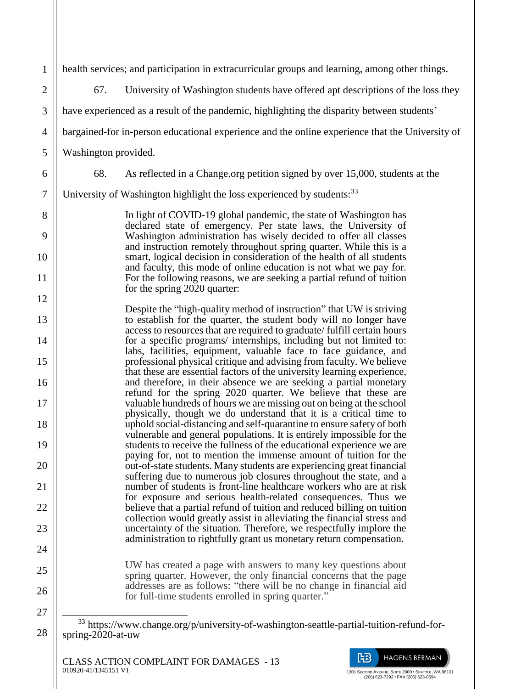| $\mathbf{1}$   | health services; and participation in extracurricular groups and learning, among other things.                                                  |
|----------------|-------------------------------------------------------------------------------------------------------------------------------------------------|
| $\mathbf{2}$   | University of Washington students have offered apt descriptions of the loss they<br>67.                                                         |
| 3              | have experienced as a result of the pandemic, highlighting the disparity between students'                                                      |
| $\overline{4}$ | bargained-for in-person educational experience and the online experience that the University of                                                 |
| 5              | Washington provided.                                                                                                                            |
| 6              | As reflected in a Change.org petition signed by over 15,000, students at the<br>68.                                                             |
| $\tau$         | University of Washington highlight the loss experienced by students: <sup>33</sup>                                                              |
| 8              | In light of COVID-19 global pandemic, the state of Washington has                                                                               |
| 9              | declared state of emergency. Per state laws, the University of<br>Washington administration has wisely decided to offer all classes             |
| 10             | and instruction remotely throughout spring quarter. While this is a<br>smart, logical decision in consideration of the health of all students   |
| 11             | and faculty, this mode of online education is not what we pay for.<br>For the following reasons, we are seeking a partial refund of tuition     |
| 12             | for the spring 2020 quarter:                                                                                                                    |
| 13             | Despite the "high-quality method of instruction" that UW is striving<br>to establish for the quarter, the student body will no longer have      |
| 14             | access to resources that are required to graduate/ fulfill certain hours<br>for a specific programs/ internships, including but not limited to: |
| 15             | labs, facilities, equipment, valuable face to face guidance, and<br>professional physical critique and advising from faculty. We believe        |
| 16             | that these are essential factors of the university learning experience,<br>and therefore, in their absence we are seeking a partial monetary    |
| 17             | refund for the spring 2020 quarter. We believe that these are<br>valuable hundreds of hours we are missing out on being at the school           |
| 18             | physically, though we do understand that it is a critical time to<br>uphold social-distancing and self-quarantine to ensure safety of both      |
| 19             | vulnerable and general populations. It is entirely impossible for the<br>students to receive the fullness of the educational experience we are  |
| 20             | paying for, not to mention the immense amount of tuition for the<br>out-of-state students. Many students are experiencing great financial       |
| 21             | suffering due to numerous job closures throughout the state, and a<br>number of students is front-line healthcare workers who are at risk       |
| 22             | for exposure and serious health-related consequences. Thus we<br>believe that a partial refund of tuition and reduced billing on tuition        |
| 23             | collection would greatly assist in alleviating the financial stress and<br>uncertainty of the situation. Therefore, we respectfully implore the |
| 24             | administration to rightfully grant us monetary return compensation.                                                                             |
| 25             | UW has created a page with answers to many key questions about<br>spring quarter. However, the only financial concerns that the page            |
| 26             | addresses are as follows: "there will be no change in financial aid<br>for full-time students enrolled in spring quarter."                      |
| 27             |                                                                                                                                                 |

28



<sup>&</sup>lt;sup>33</sup> https://www.change.org/p/university-of-washington-seattle-partial-tuition-refund-forspring-2020-at-uw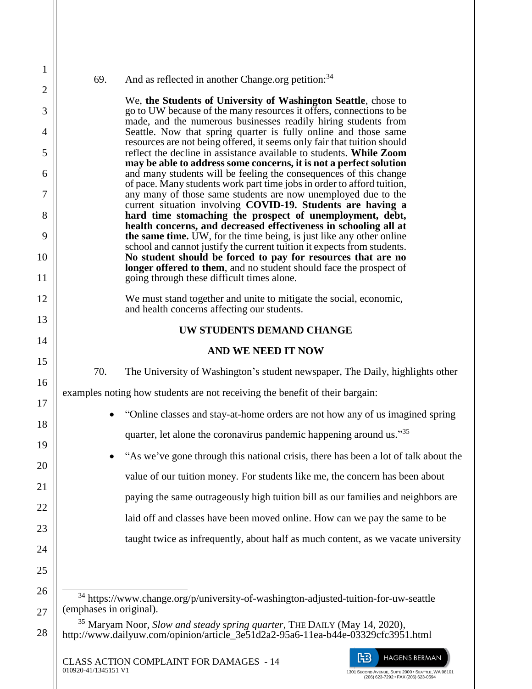## 69. And as reflected in another Change.org petition:  $34$

1

2

3

4

5

6

7

8

9

10

11

12

13

14

15

16

17

18

19

20

21

22

23

24

25

26

27

28

We, **the Students of University of Washington Seattle**, chose to go to UW because of the many resources it offers, connections to be made, and the numerous businesses readily hiring students from Seattle. Now that spring quarter is fully online and those same resources are not being offered, it seems only fair that tuition should reflect the decline in assistance available to students. **While Zoom may be able to address some concerns, it is not a perfect solution** and many students will be feeling the consequences of this change of pace. Many students work part time jobs in order to afford tuition, any many of those same students are now unemployed due to the current situation involving **COVID-19. Students are having a hard time stomaching the prospect of unemployment, debt, health concerns, and decreased effectiveness in schooling all at the same time.** UW, for the time being, is just like any other online school and cannot justify the current tuition it expects from students. **No student should be forced to pay for resources that are no longer offered to them**, and no student should face the prospect of going through these difficult times alone.

We must stand together and unite to mitigate the social, economic, and health concerns affecting our students.

## **UW STUDENTS DEMAND CHANGE**

## **AND WE NEED IT NOW**

70. The University of Washington's student newspaper, The Daily, highlights other examples noting how students are not receiving the benefit of their bargain:

- "Online classes and stay-at-home orders are not how any of us imagined spring quarter, let alone the coronavirus pandemic happening around us."35
- "As we've gone through this national crisis, there has been a lot of talk about the value of our tuition money. For students like me, the concern has been about paying the same outrageously high tuition bill as our families and neighbors are laid off and classes have been moved online. How can we pay the same to be taught twice as infrequently, about half as much content, as we vacate university

010920-41/1345151 V1

旧

**HAGENS BERMAN** 

 $\overline{a}$ <sup>34</sup> https://www.change.org/p/university-of-washington-adjusted-tuition-for-uw-seattle (emphases in original).

<sup>35</sup> Maryam Noor, *Slow and steady spring quarter*, THE DAILY (May 14, 2020), http://www.dailyuw.com/opinion/article\_3e51d2a2-95a6-11ea-b44e-03329cfc3951.html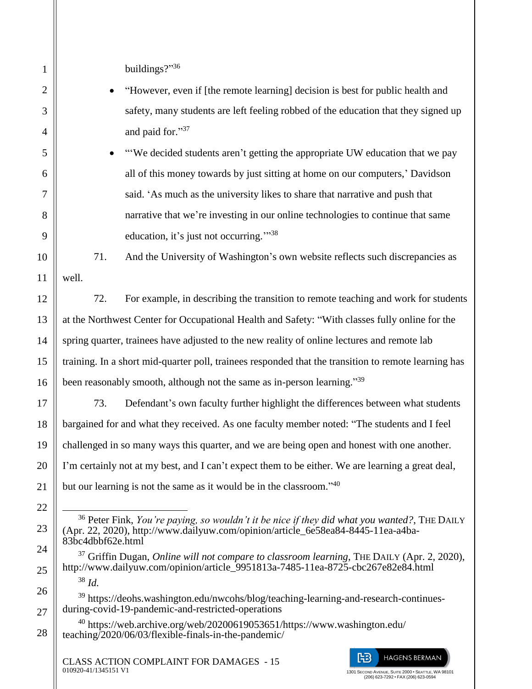| $\mathbf{1}$ | buildings?"36                                                                                                                                                                                                                                                                                                                                                                                                            |  |  |
|--------------|--------------------------------------------------------------------------------------------------------------------------------------------------------------------------------------------------------------------------------------------------------------------------------------------------------------------------------------------------------------------------------------------------------------------------|--|--|
| $\mathbf{2}$ | "However, even if [the remote learning] decision is best for public health and                                                                                                                                                                                                                                                                                                                                           |  |  |
| 3            | safety, many students are left feeling robbed of the education that they signed up                                                                                                                                                                                                                                                                                                                                       |  |  |
| 4            | and paid for."37                                                                                                                                                                                                                                                                                                                                                                                                         |  |  |
| 5            | "We decided students aren't getting the appropriate UW education that we pay                                                                                                                                                                                                                                                                                                                                             |  |  |
| 6            | all of this money towards by just sitting at home on our computers,' Davidson                                                                                                                                                                                                                                                                                                                                            |  |  |
| 7            | said. 'As much as the university likes to share that narrative and push that                                                                                                                                                                                                                                                                                                                                             |  |  |
| 8            | narrative that we're investing in our online technologies to continue that same                                                                                                                                                                                                                                                                                                                                          |  |  |
| 9            | education, it's just not occurring." <sup>38</sup>                                                                                                                                                                                                                                                                                                                                                                       |  |  |
| 10           | 71.<br>And the University of Washington's own website reflects such discrepancies as                                                                                                                                                                                                                                                                                                                                     |  |  |
| 11           | well.                                                                                                                                                                                                                                                                                                                                                                                                                    |  |  |
| 12           | 72.<br>For example, in describing the transition to remote teaching and work for students                                                                                                                                                                                                                                                                                                                                |  |  |
| 13           | at the Northwest Center for Occupational Health and Safety: "With classes fully online for the                                                                                                                                                                                                                                                                                                                           |  |  |
| 14           | spring quarter, trainees have adjusted to the new reality of online lectures and remote lab                                                                                                                                                                                                                                                                                                                              |  |  |
| 15           | training. In a short mid-quarter poll, trainees responded that the transition to remote learning has                                                                                                                                                                                                                                                                                                                     |  |  |
| 16           | been reasonably smooth, although not the same as in-person learning."39                                                                                                                                                                                                                                                                                                                                                  |  |  |
| 17           | 73.<br>Defendant's own faculty further highlight the differences between what students                                                                                                                                                                                                                                                                                                                                   |  |  |
| 18           | bargained for and what they received. As one faculty member noted: "The students and I feel                                                                                                                                                                                                                                                                                                                              |  |  |
| 19           | challenged in so many ways this quarter, and we are being open and honest with one another.                                                                                                                                                                                                                                                                                                                              |  |  |
| 20           | I'm certainly not at my best, and I can't expect them to be either. We are learning a great deal,                                                                                                                                                                                                                                                                                                                        |  |  |
| 21           | but our learning is not the same as it would be in the classroom." <sup>40</sup>                                                                                                                                                                                                                                                                                                                                         |  |  |
| 22           |                                                                                                                                                                                                                                                                                                                                                                                                                          |  |  |
| 23           | <sup>36</sup> Peter Fink, You're paying, so wouldn't it be nice if they did what you wanted?, THE DAILY<br>(Apr. 22, 2020), http://www.dailyuw.com/opinion/article_6e58ea84-8445-11ea-a4ba-<br>83bc4dbbf62e.html<br>$37$ Griffin Dugan, <i>Online will not compare to classroom learning</i> , THE DAILY (Apr. 2, 2020),<br>http://www.dailyuw.com/opinion/article_9951813a-7485-11ea-8725-cbc267e82e84.html<br>$38$ Id. |  |  |
| 24           |                                                                                                                                                                                                                                                                                                                                                                                                                          |  |  |
| 25           |                                                                                                                                                                                                                                                                                                                                                                                                                          |  |  |
| 26           | <sup>39</sup> https://deohs.washington.edu/nwcohs/blog/teaching-learning-and-research-continues-                                                                                                                                                                                                                                                                                                                         |  |  |
| 27           | during-covid-19-pandemic-and-restricted-operations<br><sup>40</sup> https://web.archive.org/web/20200619053651/https://www.washington.edu/                                                                                                                                                                                                                                                                               |  |  |
| 28           | teaching/2020/06/03/flexible-finals-in-the-pandemic/                                                                                                                                                                                                                                                                                                                                                                     |  |  |
|              | 阳<br><b>HAGENS BERMAN</b><br><b>CLASS ACTION COMPLAINT FOR DAMAGES - 15</b><br>010920-41/1345151 V1<br>1301 SECOND AVENUE, SUITE 2000 · SEATTLE, WA 98101<br>(206) 623-7292 · FAX (206) 623-0594                                                                                                                                                                                                                         |  |  |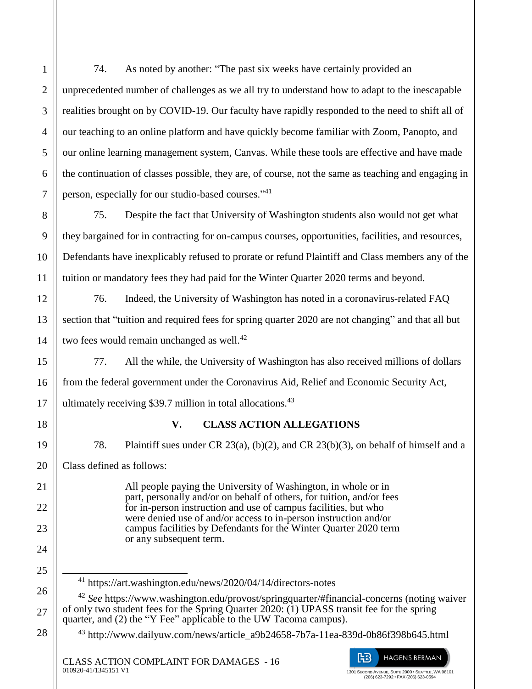$\overline{a}$ 

74. As noted by another: "The past six weeks have certainly provided an unprecedented number of challenges as we all try to understand how to adapt to the inescapable realities brought on by COVID-19. Our faculty have rapidly responded to the need to shift all of our teaching to an online platform and have quickly become familiar with Zoom, Panopto, and our online learning management system, Canvas. While these tools are effective and have made the continuation of classes possible, they are, of course, not the same as teaching and engaging in person, especially for our studio-based courses."<sup>41</sup>

75. Despite the fact that University of Washington students also would not get what they bargained for in contracting for on-campus courses, opportunities, facilities, and resources, Defendants have inexplicably refused to prorate or refund Plaintiff and Class members any of the tuition or mandatory fees they had paid for the Winter Quarter 2020 terms and beyond.

76. Indeed, the University of Washington has noted in a coronavirus-related FAQ section that "tuition and required fees for spring quarter 2020 are not changing" and that all but two fees would remain unchanged as well.<sup>42</sup>

77. All the while, the University of Washington has also received millions of dollars from the federal government under the Coronavirus Aid, Relief and Economic Security Act, ultimately receiving \$39.7 million in total allocations. $43$ 

## **V. CLASS ACTION ALLEGATIONS**

78. Plaintiff sues under CR 23(a), (b)(2), and CR 23(b)(3), on behalf of himself and a Class defined as follows:

> All people paying the University of Washington, in whole or in part, personally and/or on behalf of others, for tuition, and/or fees for in-person instruction and use of campus facilities, but who were denied use of and/or access to in-person instruction and/or campus facilities by Defendants for the Winter Quarter 2020 term or any subsequent term.

<sup>41</sup> https://art.washington.edu/news/2020/04/14/directors-notes

<sup>42</sup> *See* https://www.washington.edu/provost/springquarter/#financial-concerns (noting waiver of only two student fees for the Spring Quarter 2020: (1) UPASS transit fee for the spring quarter, and (2) the "Y Fee" applicable to the UW Tacoma campus).

 $^{43}$  http://www.dailyuw.com/news/article\_a9b24658-7b7a-11ea-839d-0b86f398b645.html

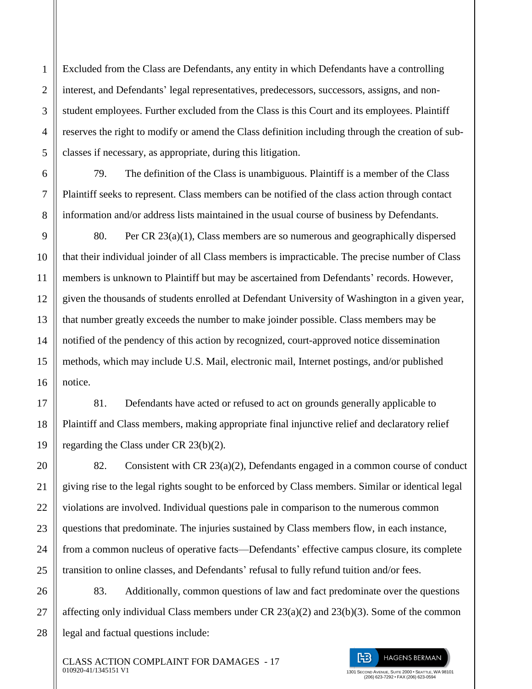Excluded from the Class are Defendants, any entity in which Defendants have a controlling interest, and Defendants' legal representatives, predecessors, successors, assigns, and nonstudent employees. Further excluded from the Class is this Court and its employees. Plaintiff reserves the right to modify or amend the Class definition including through the creation of subclasses if necessary, as appropriate, during this litigation.

79. The definition of the Class is unambiguous. Plaintiff is a member of the Class Plaintiff seeks to represent. Class members can be notified of the class action through contact information and/or address lists maintained in the usual course of business by Defendants.

80. Per CR 23(a)(1), Class members are so numerous and geographically dispersed that their individual joinder of all Class members is impracticable. The precise number of Class members is unknown to Plaintiff but may be ascertained from Defendants' records. However, given the thousands of students enrolled at Defendant University of Washington in a given year, that number greatly exceeds the number to make joinder possible. Class members may be notified of the pendency of this action by recognized, court-approved notice dissemination methods, which may include U.S. Mail, electronic mail, Internet postings, and/or published notice.

81. Defendants have acted or refused to act on grounds generally applicable to Plaintiff and Class members, making appropriate final injunctive relief and declaratory relief regarding the Class under CR 23(b)(2).

82. Consistent with CR  $23(a)(2)$ , Defendants engaged in a common course of conduct giving rise to the legal rights sought to be enforced by Class members. Similar or identical legal violations are involved. Individual questions pale in comparison to the numerous common questions that predominate. The injuries sustained by Class members flow, in each instance, from a common nucleus of operative facts—Defendants' effective campus closure, its complete transition to online classes, and Defendants' refusal to fully refund tuition and/or fees.

83. Additionally, common questions of law and fact predominate over the questions affecting only individual Class members under CR 23(a)(2) and 23(b)(3). Some of the common legal and factual questions include:

CLASS ACTION COMPLAINT FOR DAMAGES - 17 010920-41/1345151 V1

1

 $\mathfrak{D}$ 

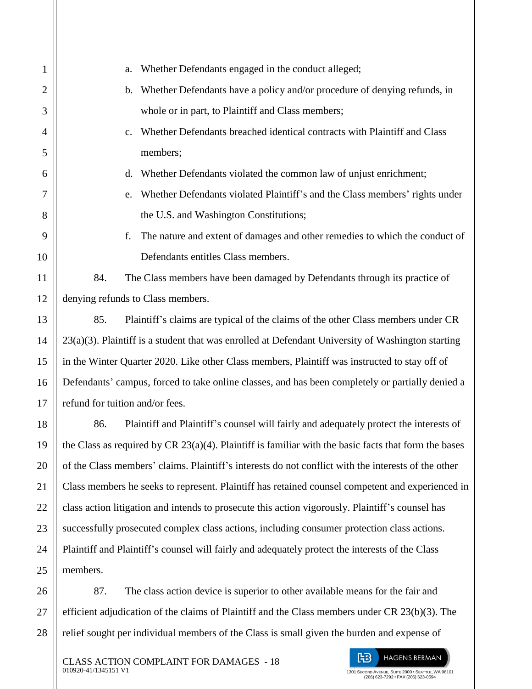| $\mathbf{1}$   | Whether Defendants engaged in the conduct alleged;<br>a.                                                |  |
|----------------|---------------------------------------------------------------------------------------------------------|--|
| $\overline{c}$ | Whether Defendants have a policy and/or procedure of denying refunds, in<br>$\mathbf{b}$ .              |  |
| 3              | whole or in part, to Plaintiff and Class members;                                                       |  |
| $\overline{4}$ | Whether Defendants breached identical contracts with Plaintiff and Class<br>$\mathbf{c}$ .              |  |
| 5              | members;                                                                                                |  |
| 6              | Whether Defendants violated the common law of unjust enrichment;<br>d.                                  |  |
| 7              | Whether Defendants violated Plaintiff's and the Class members' rights under<br>e.                       |  |
| 8              | the U.S. and Washington Constitutions;                                                                  |  |
| 9              | The nature and extent of damages and other remedies to which the conduct of<br>f.                       |  |
| 10             | Defendants entitles Class members.                                                                      |  |
| 11             | 84.<br>The Class members have been damaged by Defendants through its practice of                        |  |
| 12             | denying refunds to Class members.                                                                       |  |
| 13             | 85.<br>Plaintiff's claims are typical of the claims of the other Class members under CR                 |  |
| 14             | 23(a)(3). Plaintiff is a student that was enrolled at Defendant University of Washington starting       |  |
| 15             | in the Winter Quarter 2020. Like other Class members, Plaintiff was instructed to stay off of           |  |
| 16             | Defendants' campus, forced to take online classes, and has been completely or partially denied a        |  |
| 17             | refund for tuition and/or fees.                                                                         |  |
| 18             | Plaintiff and Plaintiff's counsel will fairly and adequately protect the interests of<br>86.            |  |
| 19             | the Class as required by CR $23(a)(4)$ . Plaintiff is familiar with the basic facts that form the bases |  |
| 20             | of the Class members' claims. Plaintiff's interests do not conflict with the interests of the other     |  |
| 21             | Class members he seeks to represent. Plaintiff has retained counsel competent and experienced in        |  |
| 22             | class action litigation and intends to prosecute this action vigorously. Plaintiff's counsel has        |  |
| 23             | successfully prosecuted complex class actions, including consumer protection class actions.             |  |
| 24             | Plaintiff and Plaintiff's counsel will fairly and adequately protect the interests of the Class         |  |
| 25             | members.                                                                                                |  |
| 26             | The class action device is superior to other available means for the fair and<br>87.                    |  |

efficient adjudication of the claims of Plaintiff and the Class members under CR 23(b)(3). The relief sought per individual members of the Class is small given the burden and expense of

27

28

阳 **HAGENS BERMAN** 1301 SECOND AVENUE, SUITE 2000 • SEATTLE, WA 98101 (206) 623-7292 • FAX (206) 623-0594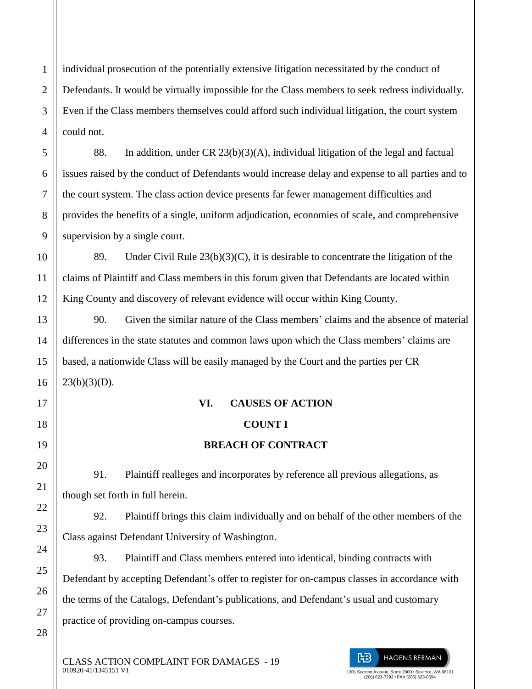individual prosecution of the potentially extensive litigation necessitated by the conduct of Defendants. It would be virtually impossible for the Class members to seek redress individually. Even if the Class members themselves could afford such individual litigation, the court system could not.

88. In addition, under CR 23(b)(3)(A), individual litigation of the legal and factual issues raised by the conduct of Defendants would increase delay and expense to all parties and to the court system. The class action device presents far fewer management difficulties and provides the benefits of a single, uniform adjudication, economies of scale, and comprehensive supervision by a single court.

89. Under Civil Rule  $23(b)(3)(C)$ , it is desirable to concentrate the litigation of the claims of Plaintiff and Class members in this forum given that Defendants are located within King County and discovery of relevant evidence will occur within King County.

90. Given the similar nature of the Class members' claims and the absence of material differences in the state statutes and common laws upon which the Class members' claims are based, a nationwide Class will be easily managed by the Court and the parties per CR  $23(b)(3)(D)$ .

# **VI. CAUSES OF ACTION COUNT I**

# **BREACH OF CONTRACT**

91. Plaintiff realleges and incorporates by reference all previous allegations, as though set forth in full herein.

92. Plaintiff brings this claim individually and on behalf of the other members of the Class against Defendant University of Washington.

93. Plaintiff and Class members entered into identical, binding contracts with Defendant by accepting Defendant's offer to register for on-campus classes in accordance with the terms of the Catalogs, Defendant's publications, and Defendant's usual and customary practice of providing on-campus courses.

CLASS ACTION COMPLAINT FOR DAMAGES - 19 010920-41/1345151 V1

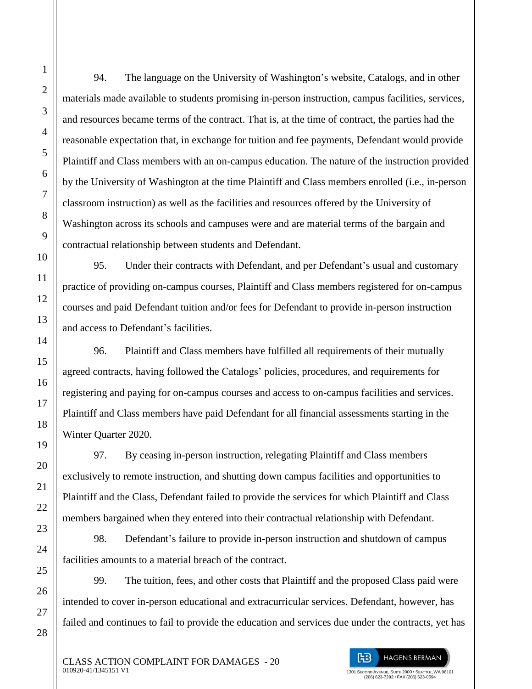1

2

3

94. The language on the University of Washington's website, Catalogs, and in other materials made available to students promising in-person instruction, campus facilities, services, and resources became terms of the contract. That is, at the time of contract, the parties had the reasonable expectation that, in exchange for tuition and fee payments, Defendant would provide Plaintiff and Class members with an on-campus education. The nature of the instruction provided by the University of Washington at the time Plaintiff and Class members enrolled (i.e., in-person classroom instruction) as well as the facilities and resources offered by the University of Washington across its schools and campuses were and are material terms of the bargain and contractual relationship between students and Defendant.

95. Under their contracts with Defendant, and per Defendant's usual and customary practice of providing on-campus courses, Plaintiff and Class members registered for on-campus courses and paid Defendant tuition and/or fees for Defendant to provide in-person instruction and access to Defendant's facilities.

96. Plaintiff and Class members have fulfilled all requirements of their mutually agreed contracts, having followed the Catalogs' policies, procedures, and requirements for registering and paying for on-campus courses and access to on-campus facilities and services. Plaintiff and Class members have paid Defendant for all financial assessments starting in the Winter Quarter 2020.

97. By ceasing in-person instruction, relegating Plaintiff and Class members exclusively to remote instruction, and shutting down campus facilities and opportunities to Plaintiff and the Class, Defendant failed to provide the services for which Plaintiff and Class members bargained when they entered into their contractual relationship with Defendant.

98. Defendant's failure to provide in-person instruction and shutdown of campus facilities amounts to a material breach of the contract.

99. The tuition, fees, and other costs that Plaintiff and the proposed Class paid were intended to cover in-person educational and extracurricular services. Defendant, however, has failed and continues to fail to provide the education and services due under the contracts, yet has

阳 **HAGENS BERMAN** 1301 SECOND AVENUE, SUITE 2000 • SEATTLE, WA 98101 (206) 623-7292 • FAX (206) 623-0594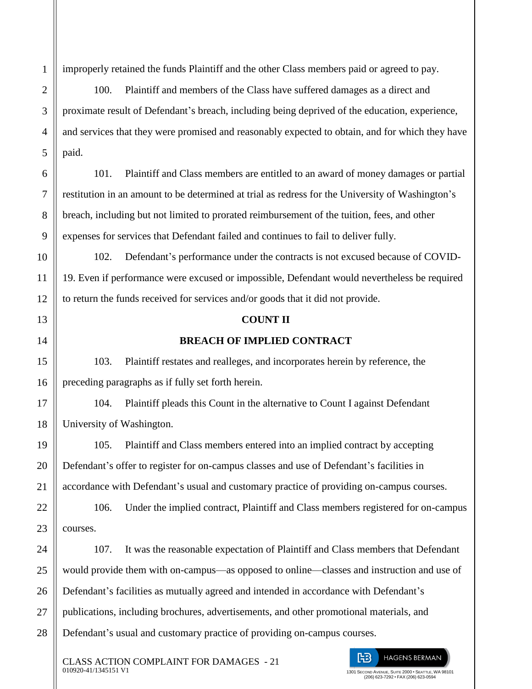improperly retained the funds Plaintiff and the other Class members paid or agreed to pay.

100. Plaintiff and members of the Class have suffered damages as a direct and proximate result of Defendant's breach, including being deprived of the education, experience, and services that they were promised and reasonably expected to obtain, and for which they have paid.

101. Plaintiff and Class members are entitled to an award of money damages or partial restitution in an amount to be determined at trial as redress for the University of Washington's breach, including but not limited to prorated reimbursement of the tuition, fees, and other expenses for services that Defendant failed and continues to fail to deliver fully.

102. Defendant's performance under the contracts is not excused because of COVID-19. Even if performance were excused or impossible, Defendant would nevertheless be required to return the funds received for services and/or goods that it did not provide.

### **COUNT II**

## **BREACH OF IMPLIED CONTRACT**

103. Plaintiff restates and realleges, and incorporates herein by reference, the preceding paragraphs as if fully set forth herein.

104. Plaintiff pleads this Count in the alternative to Count I against Defendant University of Washington.

105. Plaintiff and Class members entered into an implied contract by accepting Defendant's offer to register for on-campus classes and use of Defendant's facilities in accordance with Defendant's usual and customary practice of providing on-campus courses.

106. Under the implied contract, Plaintiff and Class members registered for on-campus courses.

107. It was the reasonable expectation of Plaintiff and Class members that Defendant would provide them with on-campus—as opposed to online—classes and instruction and use of Defendant's facilities as mutually agreed and intended in accordance with Defendant's publications, including brochures, advertisements, and other promotional materials, and Defendant's usual and customary practice of providing on-campus courses.

CLASS ACTION COMPLAINT FOR DAMAGES - 21 010920-41/1345151 V1

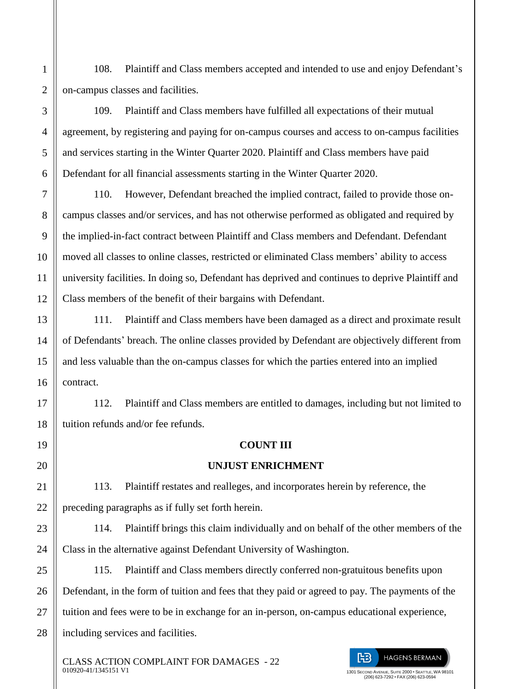108. Plaintiff and Class members accepted and intended to use and enjoy Defendant's on-campus classes and facilities.

1

2

3

4

5

6

7

8

9

10

11

12

13

14

15

16

17

18

19

20

21

22

23

24

109. Plaintiff and Class members have fulfilled all expectations of their mutual agreement, by registering and paying for on-campus courses and access to on-campus facilities and services starting in the Winter Quarter 2020. Plaintiff and Class members have paid Defendant for all financial assessments starting in the Winter Quarter 2020.

110. However, Defendant breached the implied contract, failed to provide those oncampus classes and/or services, and has not otherwise performed as obligated and required by the implied-in-fact contract between Plaintiff and Class members and Defendant. Defendant moved all classes to online classes, restricted or eliminated Class members' ability to access university facilities. In doing so, Defendant has deprived and continues to deprive Plaintiff and Class members of the benefit of their bargains with Defendant.

111. Plaintiff and Class members have been damaged as a direct and proximate result of Defendants' breach. The online classes provided by Defendant are objectively different from and less valuable than the on-campus classes for which the parties entered into an implied contract.

112. Plaintiff and Class members are entitled to damages, including but not limited to tuition refunds and/or fee refunds.

## **COUNT III**

## **UNJUST ENRICHMENT**

113. Plaintiff restates and realleges, and incorporates herein by reference, the preceding paragraphs as if fully set forth herein.

114. Plaintiff brings this claim individually and on behalf of the other members of the Class in the alternative against Defendant University of Washington.

25 26 27 28 115. Plaintiff and Class members directly conferred non-gratuitous benefits upon Defendant, in the form of tuition and fees that they paid or agreed to pay. The payments of the tuition and fees were to be in exchange for an in-person, on-campus educational experience, including services and facilities.

CLASS ACTION COMPLAINT FOR DAMAGES - 22 010920-41/1345151 V1

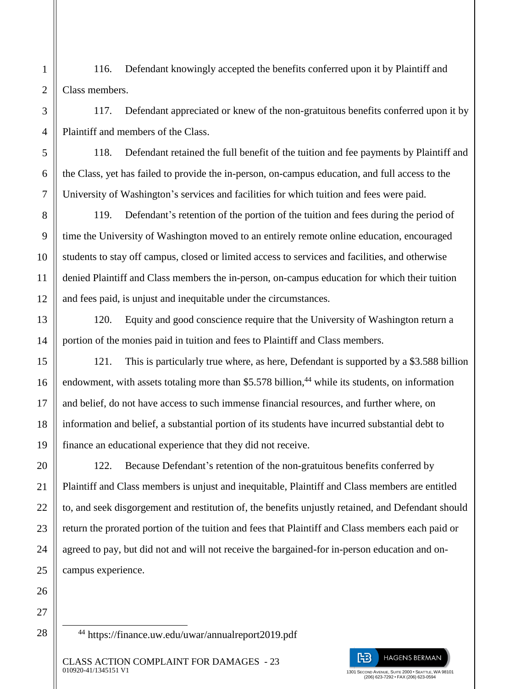116. Defendant knowingly accepted the benefits conferred upon it by Plaintiff and Class members.

117. Defendant appreciated or knew of the non-gratuitous benefits conferred upon it by Plaintiff and members of the Class.

118. Defendant retained the full benefit of the tuition and fee payments by Plaintiff and the Class, yet has failed to provide the in-person, on-campus education, and full access to the University of Washington's services and facilities for which tuition and fees were paid.

119. Defendant's retention of the portion of the tuition and fees during the period of time the University of Washington moved to an entirely remote online education, encouraged students to stay off campus, closed or limited access to services and facilities, and otherwise denied Plaintiff and Class members the in-person, on-campus education for which their tuition and fees paid, is unjust and inequitable under the circumstances.

120. Equity and good conscience require that the University of Washington return a portion of the monies paid in tuition and fees to Plaintiff and Class members.

121. This is particularly true where, as here, Defendant is supported by a \$3.588 billion endowment, with assets totaling more than \$5.578 billion,<sup>44</sup> while its students, on information and belief, do not have access to such immense financial resources, and further where, on information and belief, a substantial portion of its students have incurred substantial debt to finance an educational experience that they did not receive.

122. Because Defendant's retention of the non-gratuitous benefits conferred by Plaintiff and Class members is unjust and inequitable, Plaintiff and Class members are entitled to, and seek disgorgement and restitution of, the benefits unjustly retained, and Defendant should return the prorated portion of the tuition and fees that Plaintiff and Class members each paid or agreed to pay, but did not and will not receive the bargained-for in-person education and oncampus experience.

27 28

 $\overline{a}$ 

1

2

3

4

5

6

7

8

9

10

11

12

13

14

15

16

17

18

19

20

21

22

23

24

25

26

<sup>44</sup> https://finance.uw.edu/uwar/annualreport2019.pdf



(206) 623-7292 • FAX (206) 623-0594

CLASS ACTION COMPLAINT FOR DAMAGES - 23 010920-41/1345151 V1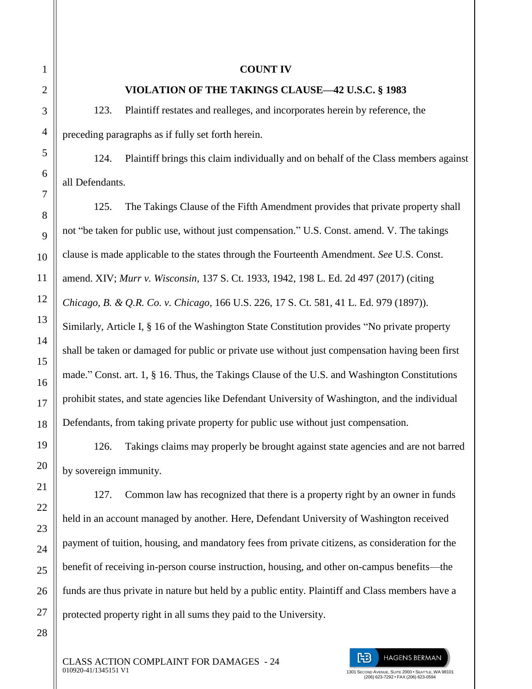### **COUNT IV**

### **VIOLATION OF THE TAKINGS CLAUSE—42 U.S.C. § 1983**

123. Plaintiff restates and realleges, and incorporates herein by reference, the preceding paragraphs as if fully set forth herein.

124. Plaintiff brings this claim individually and on behalf of the Class members against all Defendants.

125. The Takings Clause of the Fifth Amendment provides that private property shall not "be taken for public use, without just compensation." U.S. Const. amend. V. The takings clause is made applicable to the states through the Fourteenth Amendment. *See* U.S. Const. amend. XIV; *Murr v. Wisconsin*, 137 S. Ct. 1933, 1942, 198 L. Ed. 2d 497 (2017) (citing *Chicago, B. & Q.R. Co. v. Chicago*, 166 U.S. 226, 17 S. Ct. 581, 41 L. Ed. 979 (1897)). Similarly, Article I, § 16 of the Washington State Constitution provides "No private property shall be taken or damaged for public or private use without just compensation having been first made." Const. art. 1, § 16. Thus, the Takings Clause of the U.S. and Washington Constitutions prohibit states, and state agencies like Defendant University of Washington, and the individual Defendants, from taking private property for public use without just compensation.

126. Takings claims may properly be brought against state agencies and are not barred by sovereign immunity.

127. Common law has recognized that there is a property right by an owner in funds held in an account managed by another. Here, Defendant University of Washington received payment of tuition, housing, and mandatory fees from private citizens, as consideration for the benefit of receiving in-person course instruction, housing, and other on-campus benefits—the funds are thus private in nature but held by a public entity. Plaintiff and Class members have a protected property right in all sums they paid to the University.

CLASS ACTION COMPLAINT FOR DAMAGES - 24 010920-41/1345151 V1

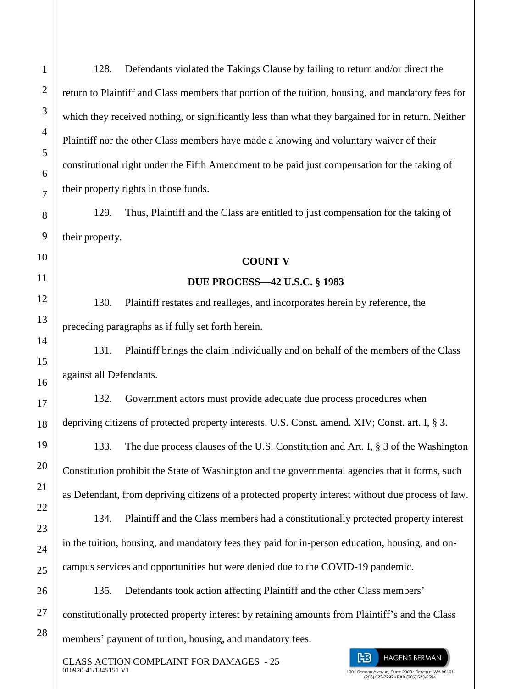128. Defendants violated the Takings Clause by failing to return and/or direct the return to Plaintiff and Class members that portion of the tuition, housing, and mandatory fees for which they received nothing, or significantly less than what they bargained for in return. Neither Plaintiff nor the other Class members have made a knowing and voluntary waiver of their constitutional right under the Fifth Amendment to be paid just compensation for the taking of their property rights in those funds.

129. Thus, Plaintiff and the Class are entitled to just compensation for the taking of their property.

### **COUNT V**

#### **DUE PROCESS—42 U.S.C. § 1983**

130. Plaintiff restates and realleges, and incorporates herein by reference, the preceding paragraphs as if fully set forth herein.

131. Plaintiff brings the claim individually and on behalf of the members of the Class against all Defendants.

132. Government actors must provide adequate due process procedures when depriving citizens of protected property interests. U.S. Const. amend. XIV; Const. art. I, § 3.

133. The due process clauses of the U.S. Constitution and Art. I, § 3 of the Washington Constitution prohibit the State of Washington and the governmental agencies that it forms, such as Defendant, from depriving citizens of a protected property interest without due process of law.

134. Plaintiff and the Class members had a constitutionally protected property interest in the tuition, housing, and mandatory fees they paid for in-person education, housing, and oncampus services and opportunities but were denied due to the COVID-19 pandemic.

135. Defendants took action affecting Plaintiff and the other Class members' constitutionally protected property interest by retaining amounts from Plaintiff's and the Class members' payment of tuition, housing, and mandatory fees.

CLASS ACTION COMPLAINT FOR DAMAGES - 25 010920-41/1345151 V1

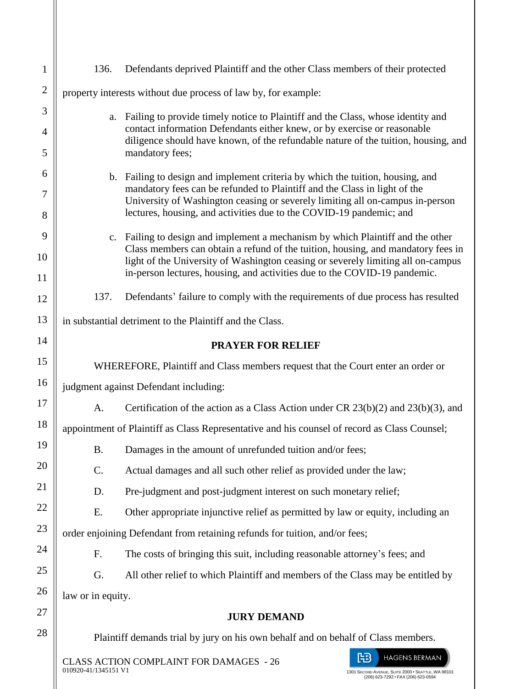| $\mathbf{1}$   | 136.                                                                                         | Defendants deprived Plaintiff and the other Class members of their protected                                                                                                                                                                         |  |
|----------------|----------------------------------------------------------------------------------------------|------------------------------------------------------------------------------------------------------------------------------------------------------------------------------------------------------------------------------------------------------|--|
| $\overline{2}$ | property interests without due process of law by, for example:                               |                                                                                                                                                                                                                                                      |  |
| 3              |                                                                                              | a. Failing to provide timely notice to Plaintiff and the Class, whose identity and<br>contact information Defendants either knew, or by exercise or reasonable<br>diligence should have known, of the refundable nature of the tuition, housing, and |  |
| 4              |                                                                                              |                                                                                                                                                                                                                                                      |  |
| 5              |                                                                                              | mandatory fees;                                                                                                                                                                                                                                      |  |
| 6              |                                                                                              | b. Failing to design and implement criteria by which the tuition, housing, and<br>mandatory fees can be refunded to Plaintiff and the Class in light of the                                                                                          |  |
| 7              | University of Washington ceasing or severely limiting all on-campus in-person                |                                                                                                                                                                                                                                                      |  |
| 8              |                                                                                              | lectures, housing, and activities due to the COVID-19 pandemic; and                                                                                                                                                                                  |  |
| 9              |                                                                                              | c. Failing to design and implement a mechanism by which Plaintiff and the other<br>Class members can obtain a refund of the tuition, housing, and mandatory fees in                                                                                  |  |
| 10<br>11       |                                                                                              | light of the University of Washington ceasing or severely limiting all on-campus<br>in-person lectures, housing, and activities due to the COVID-19 pandemic.                                                                                        |  |
| 12             | 137.                                                                                         | Defendants' failure to comply with the requirements of due process has resulted                                                                                                                                                                      |  |
| 13             | in substantial detriment to the Plaintiff and the Class.                                     |                                                                                                                                                                                                                                                      |  |
| 14             | <b>PRAYER FOR RELIEF</b>                                                                     |                                                                                                                                                                                                                                                      |  |
| 15             | WHEREFORE, Plaintiff and Class members request that the Court enter an order or              |                                                                                                                                                                                                                                                      |  |
| 16             | judgment against Defendant including:                                                        |                                                                                                                                                                                                                                                      |  |
| 17             | A.                                                                                           | Certification of the action as a Class Action under CR $23(b)(2)$ and $23(b)(3)$ , and                                                                                                                                                               |  |
| 18             | appointment of Plaintiff as Class Representative and his counsel of record as Class Counsel; |                                                                                                                                                                                                                                                      |  |
| 19             | <b>B.</b>                                                                                    | Damages in the amount of unrefunded tuition and/or fees;                                                                                                                                                                                             |  |
| 20             | C.                                                                                           | Actual damages and all such other relief as provided under the law;                                                                                                                                                                                  |  |
| 21             | D.                                                                                           | Pre-judgment and post-judgment interest on such monetary relief;                                                                                                                                                                                     |  |
| 22             | Ε.                                                                                           | Other appropriate injunctive relief as permitted by law or equity, including an                                                                                                                                                                      |  |
| 23             | order enjoining Defendant from retaining refunds for tuition, and/or fees;                   |                                                                                                                                                                                                                                                      |  |
| 24             | F.                                                                                           | The costs of bringing this suit, including reasonable attorney's fees; and                                                                                                                                                                           |  |
| 25             | G.                                                                                           | All other relief to which Plaintiff and members of the Class may be entitled by                                                                                                                                                                      |  |
| 26             | law or in equity.                                                                            |                                                                                                                                                                                                                                                      |  |
| 27             | <b>JURY DEMAND</b>                                                                           |                                                                                                                                                                                                                                                      |  |
| 28             | Plaintiff demands trial by jury on his own behalf and on behalf of Class members.            |                                                                                                                                                                                                                                                      |  |
|                | 010920-41/1345151 V1                                                                         | ŀB<br><b>HAGENS BERMAN</b><br><b>CLASS ACTION COMPLAINT FOR DAMAGES - 26</b><br>1301 SECOND AVENUE, SUITE 2000 · SEATTLE, WA 98101                                                                                                                   |  |

1301 SECOND AVENUE, SUITE 2000 • SEATTLE, WA 98101 (206) 623-7292 • FAX (206) 623-0594